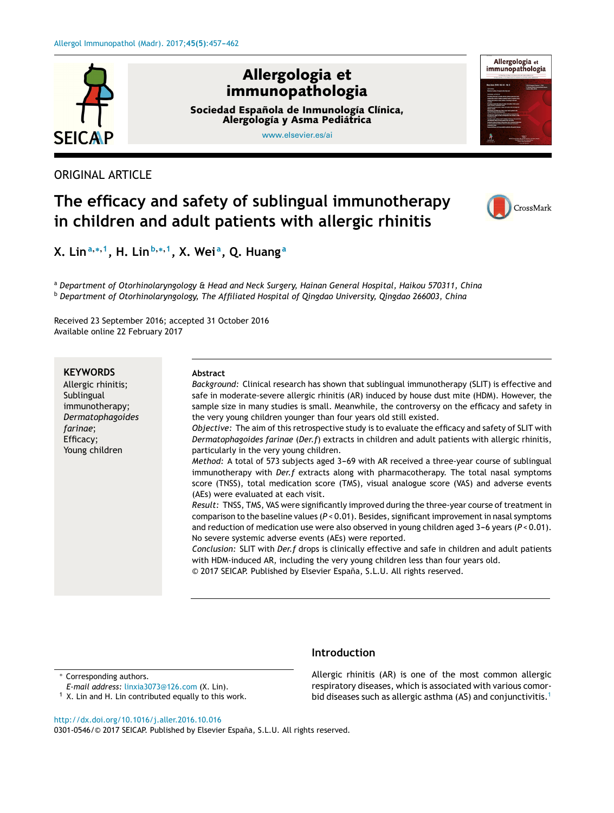

ORIGINAL ARTICLE

# **The efficacy and safety of sublingual immunotherapy in children and adult patients with allergic rhinitis**



**X. Lin<sup>a</sup>**,∗,**<sup>1</sup> , H. Lin<sup>b</sup>**,∗,**<sup>1</sup> , X. Wei <sup>a</sup> , Q. Huang <sup>a</sup>**

<sup>a</sup> *Department of Otorhinolaryngology & Head and Neck Surgery, Hainan General Hospital, Haikou 570311, China* <sup>b</sup> *Department of Otorhinolaryngology, The Affiliated Hospital of Qingdao University, Qingdao 266003, China*

Received 23 September 2016; accepted 31 October 2016 Available online 22 February 2017

# **KEYWORDS**

Allergic rhinitis; **Sublingual** immunotherapy; *Dermatophagoides farinae*; Efficacy; Young children

#### **Abstract**

*Background:* Clinical research has shown that sublingual immunotherapy (SLIT) is effective and safe in moderate-severe allergic rhinitis (AR) induced by house dust mite (HDM). However, the sample size in many studies is small. Meanwhile, the controversy on the efficacy and safety in the very young children younger than four years old still existed.

*Objective:* The aim of this retrospective study is to evaluate the efficacy and safety of SLIT with *Dermatophagoides farinae* (*Der.f*) extracts in children and adult patients with allergic rhinitis, particularly in the very young children.

*Method:* A total of 573 subjects aged 3-69 with AR received a three-year course of sublingual immunotherapy with *Der.f* extracts along with pharmacotherapy. The total nasal symptoms score (TNSS), total medication score (TMS), visual analogue score (VAS) and adverse events (AEs) were evaluated at each visit.

*Result:* TNSS, TMS, VAS were significantly improved during the three-year course of treatment in comparison to the baseline values (*P* < 0.01). Besides, significantimprovementin nasal symptoms and reduction of medication use were also observed in young children aged  $3-6$  years ( $P < 0.01$ ). No severe systemic adverse events (AEs) were reported.

*Conclusion:* SLIT with *Der.f* drops is clinically effective and safe in children and adult patients with HDM-induced AR, including the very young children less than four years old. © 2017 SEICAP. Published by Elsevier España, S.L.U. All rights reserved.

# **Introduction**

Corresponding authors.

- *E-mail address:* [linxia3073@126.com](mailto:linxia3073@126.com) (X. Lin).
- $1$  X. Lin and H. Lin contributed equally to this work.

Allergic rhinitis (AR) is one of the most common allergic respiratory diseases, which is associated with various comor-bid diseases such as allergic asthma (AS) and conjunctivitis.<sup>[1](#page-4-0)</sup>

[http://dx.doi.org/10.1016/j.aller.2016.10.016](dx.doi.org/10.1016/j.aller.2016.10.016)

0301-0546/© 2017 SEICAP. Published by Elsevier España, S.L.U. All rights reserved.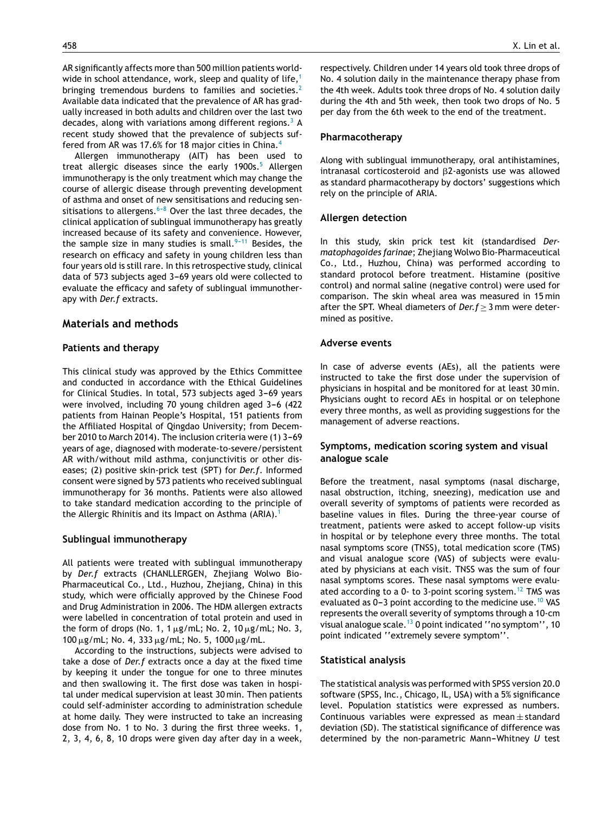AR significantly affects more than 500 million patients world-wide in school attendance, work, sleep and quality of life,<sup>[1](#page-4-0)</sup> bringing tremendous burdens to families and societies.<sup>[2](#page-4-0)</sup> Available data indicated that the prevalence of AR has gradually increased in both adults and children over the last two decades, along with variations among different regions.<sup>[3](#page-4-0)</sup> A recent study showed that the prevalence of subjects suffered from AR was 17.6% for 18 major cities in China.[4](#page-4-0)

Allergen immunotherapy (AIT) has been used to treat allergic diseases since the early 1900s.<sup>[5](#page-4-0)</sup> Allergen immunotherapy is the only treatment which may change the course of allergic disease through preventing development of asthma and onset of new sensitisations and reducing sensitisations to allergens. $6-8$  Over the last three decades, the clinical application of sublingual immunotherapy has greatly increased because of its safety and convenience. However, the sample size in many studies is small.  $9-11$  Besides, the research on efficacy and safety in young children less than four years old is still rare. In this retrospective study, clinical data of 573 subjects aged 3-69 years old were collected to evaluate the efficacy and safety of sublingual immunotherapy with *Der.f* extracts.

# **Materials and methods**

#### **Patients and therapy**

This clinical study was approved by the Ethics Committee and conducted in accordance with the Ethical Guidelines for Clinical Studies. In total, 573 subjects aged 3-69 years were involved, including 70 young children aged 3-6 (422 patients from Hainan People's Hospital, 151 patients from the Affiliated Hospital of Qingdao University; from December 2010 to March 2014). The inclusion criteria were (1) 3-69 years of age, diagnosed with moderate-to-severe/persistent AR with/without mild asthma, conjunctivitis or other diseases; (2) positive skin-prick test (SPT) for *Der.f*. Informed consent were signed by 573 patients who received sublingual immunotherapy for 36 months. Patients were also allowed to take standard medication according to the principle of the Allergic Rhinitis and its Impact on Asthma (ARIA).<sup>[1](#page-4-0)</sup>

#### **Sublingual immunotherapy**

All patients were treated with sublingual immunotherapy by *Der.f* extracts (CHANLLERGEN, Zhejiang Wolwo Bio-Pharmaceutical Co., Ltd., Huzhou, Zhejiang, China) in this study, which were officially approved by the Chinese Food and Drug Administration in 2006. The HDM allergen extracts were labelled in concentration of total protein and used in the form of drops (No. 1, 1  $\mu$ g/mL; No. 2, 10  $\mu$ g/mL; No. 3,  $100 \,\mu$ g/mL; No. 4, 333  $\mu$ g/mL; No. 5, 1000  $\mu$ g/mL.

According to the instructions, subjects were advised to take a dose of *Der.f* extracts once a day at the fixed time by keeping it under the tongue for one to three minutes and then swallowing it. The first dose was taken in hospital under medical supervision at least 30 min. Then patients could self-administer according to administration schedule at home daily. They were instructed to take an increasing dose from No. 1 to No. 3 during the first three weeks. 1, 2, 3, 4, 6, 8, 10 drops were given day after day in a week,

respectively. Children under 14 years old took three drops of No. 4 solution daily in the maintenance therapy phase from the 4th week. Adults took three drops of No. 4 solution daily during the 4th and 5th week, then took two drops of No. 5 per day from the 6th week to the end of the treatment.

# **Pharmacotherapy**

Along with sublingual immunotherapy, oral antihistamines, intranasal corticosteroid and  $\beta$ 2-agonists use was allowed as standard pharmacotherapy by doctors' suggestions which rely on the principle of ARIA.

#### **Allergen detection**

In this study, skin prick test kit (standardised *Dermatophagoides farinae*; Zhejiang Wolwo Bio-Pharmaceutical Co., Ltd., Huzhou, China) was performed according to standard protocol before treatment. Histamine (positive control) and normal saline (negative control) were used for comparison. The skin wheal area was measured in 15 min after the SPT. Wheal diameters of *Der.f*  $\geq$  3 mm were determined as positive.

#### **Adverse events**

In case of adverse events (AEs), all the patients were instructed to take the first dose under the supervision of physicians in hospital and be monitored for at least 30 min. Physicians ought to record AEs in hospital or on telephone every three months, as well as providing suggestions for the management of adverse reactions.

# **Symptoms, medication scoring system and visual analogue scale**

Before the treatment, nasal symptoms (nasal discharge, nasal obstruction, itching, sneezing), medication use and overall severity of symptoms of patients were recorded as baseline values in files. During the three-year course of treatment, patients were asked to accept follow-up visits in hospital or by telephone every three months. The total nasal symptoms score (TNSS), total medication score (TMS) and visual analogue score (VAS) of subjects were evaluated by physicians at each visit. TNSS was the sum of four nasal symptoms scores. These nasal symptoms were evalu-ated according to a 0- to 3-point scoring system.<sup>[12](#page-4-0)</sup> TMS was evaluated as  $0-3$  point according to the medicine use.<sup>[10](#page-4-0)</sup> VAS represents the overall severity of symptoms through a 10-cm visual analogue scale.[13](#page-4-0) 0 point indicated ''no symptom'', 10 point indicated ''extremely severe symptom''.

# **Statistical analysis**

The statistical analysis was performed with SPSS version 20.0 software (SPSS, Inc., Chicago, IL, USA) with a 5% significance level. Population statistics were expressed as numbers. Continuous variables were expressed as mean  $\pm$  standard deviation (SD). The statistical significance of difference was determined by the non-parametric Mann-Whitney *U* test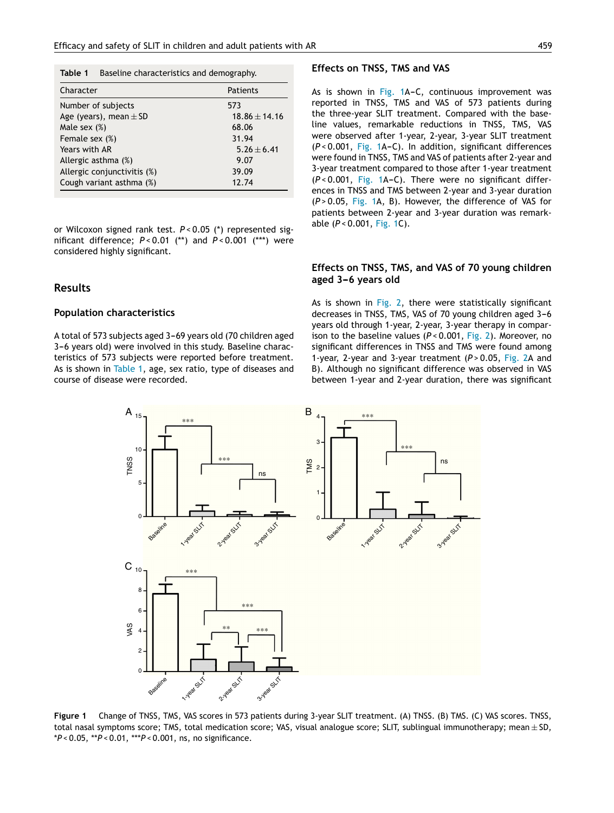**Table 1** Baseline characteristics and demography.

| Character                   | <b>Patients</b>   |
|-----------------------------|-------------------|
| Number of subjects          | 573               |
| Age (years), mean $\pm$ SD  | $18.86 \pm 14.16$ |
| Male sex $(\%)$             | 68.06             |
| Female sex (%)              | 31.94             |
| Years with AR               | $5.26 \pm 6.41$   |
| Allergic asthma (%)         | 9.07              |
| Allergic conjunctivitis (%) | 39.09             |
| Cough variant asthma (%)    | 12.74             |
|                             |                   |

or Wilcoxon signed rank test. *P* < 0.05 (\*) represented significant difference; *P* < 0.01 (\*\*) and *P* < 0.001 (\*\*\*) were considered highly significant.

#### **Results**

#### **Population characteristics**

A total of 573 subjects aged 3-69 years old (70 children aged 3-6 years old) were involved in this study. Baseline characteristics of 573 subjects were reported before treatment. As is shown in Table 1, age, sex ratio, type of diseases and course of disease were recorded.

#### **Effects on TNSS, TMS and VAS**

As is shown in Fig. 1A-C, continuous improvement was reported in TNSS, TMS and VAS of 573 patients during the three-year SLIT treatment. Compared with the baseline values, remarkable reductions in TNSS, TMS, VAS were observed after 1-year, 2-year, 3-year SLIT treatment ( $P < 0.001$ , Fig. 1A-C). In addition, significant differences were found in TNSS, TMS and VAS of patients after 2-year and 3-year treatment compared to those after 1-year treatment  $(P < 0.001$ , Fig. 1A-C). There were no significant differences in TNSS and TMS between 2-year and 3-year duration (*P* > 0.05, Fig. 1A, B). However, the difference of VAS for patients between 2-year and 3-year duration was remarkable (*P* < 0.001, Fig. 1C).

# **Effects on TNSS, TMS, and VAS of 70 young children aged** 3-6 years old

As is shown in [Fig.](#page-3-0) 2, there were statistically significant decreases in TNSS, TMS, VAS of 70 young children aged 3-6 years old through 1-year, 2-year, 3-year therapy in comparison to the baseline values (*P* < 0.001, [Fig.](#page-3-0) 2). Moreover, no significant differences in TNSS and TMS were found among 1-year, 2-year and 3-year treatment (P > 0.05, [Fig.](#page-3-0) 2A and B). Although no significant difference was observed in VAS between 1-year and 2-year duration, there was significant



**Figure 1** Change of TNSS, TMS, VAS scores in 573 patients during 3-year SLIT treatment. (A) TNSS. (B) TMS. (C) VAS scores. TNSS, total nasal symptoms score; TMS, total medication score; VAS, visual analogue score; SLIT, sublingual immunotherapy; mean  $\pm$  SD, \**P* < 0.05, \*\**P* < 0.01, \*\*\**P* < 0.001, ns, no significance.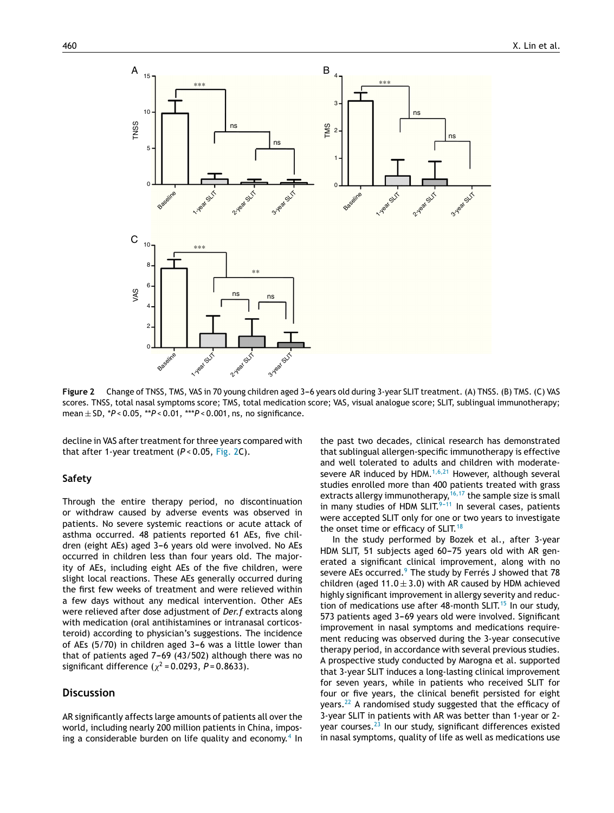<span id="page-3-0"></span>

Figure 2 Change of TNSS, TMS, VAS in 70 young children aged 3-6 years old during 3-year SLIT treatment. (A) TNSS. (B) TMS. (C) VAS scores. TNSS, total nasal symptoms score; TMS, total medication score; VAS, visual analogue score; SLIT, sublingual immunotherapy; mean ± SD, \**P* < 0.05, \*\**P* < 0.01, \*\*\**P* < 0.001, ns, no significance.

decline in VAS after treatment for three years compared with that after 1-year treatment (*P* < 0.05, Fig. 2C).

# **Safety**

Through the entire therapy period, no discontinuation or withdraw caused by adverse events was observed in patients. No severe systemic reactions or acute attack of asthma occurred. 48 patients reported 61 AEs, five children (eight AEs) aged 3-6 years old were involved. No AEs occurred in children less than four years old. The majority of AEs, including eight AEs of the five children, were slight local reactions. These AEs generally occurred during the first few weeks of treatment and were relieved within a few days without any medical intervention. Other AEs were relieved after dose adjustment of *Der.f* extracts along with medication (oral antihistamines or intranasal corticosteroid) according to physician's suggestions. The incidence of AEs  $(5/70)$  in children aged  $3-6$  was a little lower than that of patients aged  $7-69$  (43/502) although there was no significant difference  $(\chi^2 = 0.0293, P = 0.8633)$ .

# **Discussion**

AR significantly affects large amounts of patients all over the world, including nearly 200 million patients in China, impos-ing a considerable burden on life quality and economy.<sup>[4](#page-4-0)</sup> In

the past two decades, clinical research has demonstrated that sublingual allergen-specific immunotherapy is effective and well tolerated to adults and children with moderate-severe AR induced by HDM.<sup>[1,6,21](#page-4-0)</sup> However, although several studies enrolled more than 400 patients treated with grass extracts allergy immunotherapy, <sup>16, 17</sup> the sample size is small in many studies of HDM SLIT. $9-11$  In several cases, patients were accepted SLIT only for one or two years to investigate the onset time or efficacy of SLIT.<sup>[18](#page-4-0)</sup>

In the study performed by Bozek et al., after 3-year HDM SLIT, 51 subjects aged 60-75 years old with AR generated a significant clinical improvement, along with no severe AEs occurred.<sup>[9](#page-4-0)</sup> The study by Ferrés J showed that 78 children (aged  $11.0 \pm 3.0$ ) with AR caused by HDM achieved highly significant improvement in allergy severity and reduc-tion of medications use after 48-month SLIT.<sup>[15](#page-4-0)</sup> In our study, 573 patients aged 3-69 years old were involved. Significant improvement in nasal symptoms and medications requirement reducing was observed during the 3-year consecutive therapy period, in accordance with several previous studies. A prospective study conducted by Marogna et al. supported that 3-year SLIT induces a long-lasting clinical improvement for seven years, while in patients who received SLIT for four or five years, the clinical benefit persisted for eight years. $^{22}$  $^{22}$  $^{22}$  A randomised study suggested that the efficacy of 3-year SLIT in patients with AR was better than 1-year or 2- year courses.<sup>[23](#page-5-0)</sup> In our study, significant differences existed in nasal symptoms, quality of life as well as medications use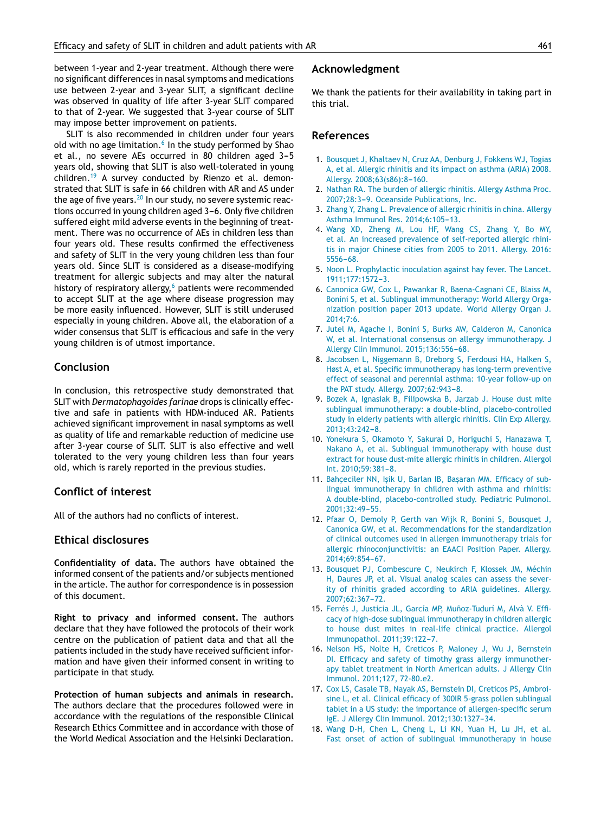<span id="page-4-0"></span>between 1-year and 2-year treatment. Although there were no significant differences in nasal symptoms and medications use between 2-year and 3-year SLIT, a significant decline was observed in quality of life after 3-year SLIT compared to that of 2-year. We suggested that 3-year course of SLIT may impose better improvement on patients.

SLIT is also recommended in children under four years old with no age limitation. $^{\rm 6}$  In the study performed by Shao et al., no severe AEs occurred in 80 children aged 3-5 years old, showing that SLIT is also well-tolerated in young children.<sup>[19](#page-5-0)</sup> A survey conducted by Rienzo et al. demonstrated that SLIT is safe in 66 children with AR and AS under the age of five years.<sup>[20](#page-5-0)</sup> In our study, no severe systemic reactions occurred in young children aged 3-6. Only five children suffered eight mild adverse events in the beginning of treatment. There was no occurrence of AEs in children less than four years old. These results confirmed the effectiveness and safety of SLIT in the very young children less than four years old. Since SLIT is considered as a disease-modifying treatment for allergic subjects and may alter the natural history of respiratory allergy, $6$  patients were recommended to accept SLIT at the age where disease progression may be more easily influenced. However, SLIT is still underused especially in young children. Above all, the elaboration of a wider consensus that SLIT is efficacious and safe in the very young children is of utmost importance.

# **Conclusion**

In conclusion, this retrospective study demonstrated that SLIT with *Dermatophagoides farinae* drops is clinically effective and safe in patients with HDM-induced AR. Patients achieved significant improvement in nasal symptoms as well as quality of life and remarkable reduction of medicine use after 3-year course of SLIT. SLIT is also effective and well tolerated to the very young children less than four years old, which is rarely reported in the previous studies.

# **Conflict of interest**

All of the authors had no conflicts of interest.

# **Ethical disclosures**

**Confidentiality of data.** The authors have obtained the informed consent of the patients and/or subjects mentioned in the article. The author for correspondence is in possession of this document.

**Right to privacy and informed consent.** The authors declare that they have followed the protocols of their work centre on the publication of patient data and that all the patients included in the study have received sufficient information and have given their informed consent in writing to participate in that study.

**Protection of human subjects and animals in research.** The authors declare that the procedures followed were in accordance with the regulations of the responsible Clinical Research Ethics Committee and in accordance with those of the World Medical Association and the Helsinki Declaration.

#### **Acknowledgment**

We thank the patients for their availability in taking part in this trial.

#### **References**

- 1. [Bousquet](http://refhub.elsevier.com/S0301-0546(17)30007-1/sbref0120) [J,](http://refhub.elsevier.com/S0301-0546(17)30007-1/sbref0120) [Khaltaev](http://refhub.elsevier.com/S0301-0546(17)30007-1/sbref0120) [N,](http://refhub.elsevier.com/S0301-0546(17)30007-1/sbref0120) [Cruz](http://refhub.elsevier.com/S0301-0546(17)30007-1/sbref0120) [AA,](http://refhub.elsevier.com/S0301-0546(17)30007-1/sbref0120) [Denburg](http://refhub.elsevier.com/S0301-0546(17)30007-1/sbref0120) [J,](http://refhub.elsevier.com/S0301-0546(17)30007-1/sbref0120) [Fokkens](http://refhub.elsevier.com/S0301-0546(17)30007-1/sbref0120) [WJ,](http://refhub.elsevier.com/S0301-0546(17)30007-1/sbref0120) [Togias](http://refhub.elsevier.com/S0301-0546(17)30007-1/sbref0120) [A,](http://refhub.elsevier.com/S0301-0546(17)30007-1/sbref0120) [et](http://refhub.elsevier.com/S0301-0546(17)30007-1/sbref0120) [al.](http://refhub.elsevier.com/S0301-0546(17)30007-1/sbref0120) [Allergic](http://refhub.elsevier.com/S0301-0546(17)30007-1/sbref0120) [rhinitis](http://refhub.elsevier.com/S0301-0546(17)30007-1/sbref0120) [and](http://refhub.elsevier.com/S0301-0546(17)30007-1/sbref0120) [its](http://refhub.elsevier.com/S0301-0546(17)30007-1/sbref0120) [impact](http://refhub.elsevier.com/S0301-0546(17)30007-1/sbref0120) [on](http://refhub.elsevier.com/S0301-0546(17)30007-1/sbref0120) [asthma](http://refhub.elsevier.com/S0301-0546(17)30007-1/sbref0120) [\(ARIA\)](http://refhub.elsevier.com/S0301-0546(17)30007-1/sbref0120) [2008.](http://refhub.elsevier.com/S0301-0546(17)30007-1/sbref0120) [Allergy.](http://refhub.elsevier.com/S0301-0546(17)30007-1/sbref0120) 2008;63(s86):8-160.
- 2. [Nathan](http://refhub.elsevier.com/S0301-0546(17)30007-1/sbref0125) [RA.](http://refhub.elsevier.com/S0301-0546(17)30007-1/sbref0125) [The](http://refhub.elsevier.com/S0301-0546(17)30007-1/sbref0125) [burden](http://refhub.elsevier.com/S0301-0546(17)30007-1/sbref0125) [of](http://refhub.elsevier.com/S0301-0546(17)30007-1/sbref0125) [allergic](http://refhub.elsevier.com/S0301-0546(17)30007-1/sbref0125) [rhinitis.](http://refhub.elsevier.com/S0301-0546(17)30007-1/sbref0125) [Allergy](http://refhub.elsevier.com/S0301-0546(17)30007-1/sbref0125) [Asthma](http://refhub.elsevier.com/S0301-0546(17)30007-1/sbref0125) [Proc.](http://refhub.elsevier.com/S0301-0546(17)30007-1/sbref0125) 2007;28:3-9. [Oceanside](http://refhub.elsevier.com/S0301-0546(17)30007-1/sbref0125) [Publications,](http://refhub.elsevier.com/S0301-0546(17)30007-1/sbref0125) [Inc.](http://refhub.elsevier.com/S0301-0546(17)30007-1/sbref0125)
- 3. [Zhang](http://refhub.elsevier.com/S0301-0546(17)30007-1/sbref0130) [Y,](http://refhub.elsevier.com/S0301-0546(17)30007-1/sbref0130) [Zhang](http://refhub.elsevier.com/S0301-0546(17)30007-1/sbref0130) [L.](http://refhub.elsevier.com/S0301-0546(17)30007-1/sbref0130) [Prevalence](http://refhub.elsevier.com/S0301-0546(17)30007-1/sbref0130) [of](http://refhub.elsevier.com/S0301-0546(17)30007-1/sbref0130) [allergic](http://refhub.elsevier.com/S0301-0546(17)30007-1/sbref0130) [rhinitis](http://refhub.elsevier.com/S0301-0546(17)30007-1/sbref0130) [in](http://refhub.elsevier.com/S0301-0546(17)30007-1/sbref0130) [china.](http://refhub.elsevier.com/S0301-0546(17)30007-1/sbref0130) [Allergy](http://refhub.elsevier.com/S0301-0546(17)30007-1/sbref0130) [Asthma](http://refhub.elsevier.com/S0301-0546(17)30007-1/sbref0130) [Immunol](http://refhub.elsevier.com/S0301-0546(17)30007-1/sbref0130) [Res.](http://refhub.elsevier.com/S0301-0546(17)30007-1/sbref0130) [2014;6:105](http://refhub.elsevier.com/S0301-0546(17)30007-1/sbref0130)-[13.](http://refhub.elsevier.com/S0301-0546(17)30007-1/sbref0130)
- 4. [Wang](http://refhub.elsevier.com/S0301-0546(17)30007-1/sbref0135) [XD,](http://refhub.elsevier.com/S0301-0546(17)30007-1/sbref0135) [Zheng](http://refhub.elsevier.com/S0301-0546(17)30007-1/sbref0135) [M,](http://refhub.elsevier.com/S0301-0546(17)30007-1/sbref0135) [Lou](http://refhub.elsevier.com/S0301-0546(17)30007-1/sbref0135) [HF,](http://refhub.elsevier.com/S0301-0546(17)30007-1/sbref0135) [Wang](http://refhub.elsevier.com/S0301-0546(17)30007-1/sbref0135) [CS,](http://refhub.elsevier.com/S0301-0546(17)30007-1/sbref0135) [Zhang](http://refhub.elsevier.com/S0301-0546(17)30007-1/sbref0135) [Y,](http://refhub.elsevier.com/S0301-0546(17)30007-1/sbref0135) [Bo](http://refhub.elsevier.com/S0301-0546(17)30007-1/sbref0135) [MY,](http://refhub.elsevier.com/S0301-0546(17)30007-1/sbref0135) [et](http://refhub.elsevier.com/S0301-0546(17)30007-1/sbref0135) [al.](http://refhub.elsevier.com/S0301-0546(17)30007-1/sbref0135) [An](http://refhub.elsevier.com/S0301-0546(17)30007-1/sbref0135) [increased](http://refhub.elsevier.com/S0301-0546(17)30007-1/sbref0135) [prevalence](http://refhub.elsevier.com/S0301-0546(17)30007-1/sbref0135) [of](http://refhub.elsevier.com/S0301-0546(17)30007-1/sbref0135) [self-reported](http://refhub.elsevier.com/S0301-0546(17)30007-1/sbref0135) [allergic](http://refhub.elsevier.com/S0301-0546(17)30007-1/sbref0135) [rhini](http://refhub.elsevier.com/S0301-0546(17)30007-1/sbref0135)[tis](http://refhub.elsevier.com/S0301-0546(17)30007-1/sbref0135) [in](http://refhub.elsevier.com/S0301-0546(17)30007-1/sbref0135) [major](http://refhub.elsevier.com/S0301-0546(17)30007-1/sbref0135) [Chinese](http://refhub.elsevier.com/S0301-0546(17)30007-1/sbref0135) [cities](http://refhub.elsevier.com/S0301-0546(17)30007-1/sbref0135) [from](http://refhub.elsevier.com/S0301-0546(17)30007-1/sbref0135) [2005](http://refhub.elsevier.com/S0301-0546(17)30007-1/sbref0135) [to](http://refhub.elsevier.com/S0301-0546(17)30007-1/sbref0135) [2011.](http://refhub.elsevier.com/S0301-0546(17)30007-1/sbref0135) [Allergy.](http://refhub.elsevier.com/S0301-0546(17)30007-1/sbref0135) [2016:](http://refhub.elsevier.com/S0301-0546(17)30007-1/sbref0135) [5556](http://refhub.elsevier.com/S0301-0546(17)30007-1/sbref0135)-[68.](http://refhub.elsevier.com/S0301-0546(17)30007-1/sbref0135)
- 5. [Noon](http://refhub.elsevier.com/S0301-0546(17)30007-1/sbref0140) [L.](http://refhub.elsevier.com/S0301-0546(17)30007-1/sbref0140) [Prophylactic](http://refhub.elsevier.com/S0301-0546(17)30007-1/sbref0140) [inoculation](http://refhub.elsevier.com/S0301-0546(17)30007-1/sbref0140) [against](http://refhub.elsevier.com/S0301-0546(17)30007-1/sbref0140) [hay](http://refhub.elsevier.com/S0301-0546(17)30007-1/sbref0140) [fever.](http://refhub.elsevier.com/S0301-0546(17)30007-1/sbref0140) [The](http://refhub.elsevier.com/S0301-0546(17)30007-1/sbref0140) [Lancet.](http://refhub.elsevier.com/S0301-0546(17)30007-1/sbref0140) [1911;177:1572](http://refhub.elsevier.com/S0301-0546(17)30007-1/sbref0140)-[3.](http://refhub.elsevier.com/S0301-0546(17)30007-1/sbref0140)
- 6. [Canonica](http://refhub.elsevier.com/S0301-0546(17)30007-1/sbref0145) [GW,](http://refhub.elsevier.com/S0301-0546(17)30007-1/sbref0145) [Cox](http://refhub.elsevier.com/S0301-0546(17)30007-1/sbref0145) [L,](http://refhub.elsevier.com/S0301-0546(17)30007-1/sbref0145) [Pawankar](http://refhub.elsevier.com/S0301-0546(17)30007-1/sbref0145) [R,](http://refhub.elsevier.com/S0301-0546(17)30007-1/sbref0145) [Baena-Cagnani](http://refhub.elsevier.com/S0301-0546(17)30007-1/sbref0145) [CE,](http://refhub.elsevier.com/S0301-0546(17)30007-1/sbref0145) [Blaiss](http://refhub.elsevier.com/S0301-0546(17)30007-1/sbref0145) [M,](http://refhub.elsevier.com/S0301-0546(17)30007-1/sbref0145) [Bonini](http://refhub.elsevier.com/S0301-0546(17)30007-1/sbref0145) [S,](http://refhub.elsevier.com/S0301-0546(17)30007-1/sbref0145) [et](http://refhub.elsevier.com/S0301-0546(17)30007-1/sbref0145) [al.](http://refhub.elsevier.com/S0301-0546(17)30007-1/sbref0145) [Sublingual](http://refhub.elsevier.com/S0301-0546(17)30007-1/sbref0145) [immunotherapy:](http://refhub.elsevier.com/S0301-0546(17)30007-1/sbref0145) [World](http://refhub.elsevier.com/S0301-0546(17)30007-1/sbref0145) [Allergy](http://refhub.elsevier.com/S0301-0546(17)30007-1/sbref0145) [Orga](http://refhub.elsevier.com/S0301-0546(17)30007-1/sbref0145)[nization](http://refhub.elsevier.com/S0301-0546(17)30007-1/sbref0145) [position](http://refhub.elsevier.com/S0301-0546(17)30007-1/sbref0145) [paper](http://refhub.elsevier.com/S0301-0546(17)30007-1/sbref0145) [2013](http://refhub.elsevier.com/S0301-0546(17)30007-1/sbref0145) [update.](http://refhub.elsevier.com/S0301-0546(17)30007-1/sbref0145) [World](http://refhub.elsevier.com/S0301-0546(17)30007-1/sbref0145) [Allergy](http://refhub.elsevier.com/S0301-0546(17)30007-1/sbref0145) [Organ](http://refhub.elsevier.com/S0301-0546(17)30007-1/sbref0145) [J.](http://refhub.elsevier.com/S0301-0546(17)30007-1/sbref0145) [2014;7:6.](http://refhub.elsevier.com/S0301-0546(17)30007-1/sbref0145)
- 7. [Jutel](http://refhub.elsevier.com/S0301-0546(17)30007-1/sbref0150) [M,](http://refhub.elsevier.com/S0301-0546(17)30007-1/sbref0150) [Agache](http://refhub.elsevier.com/S0301-0546(17)30007-1/sbref0150) [I,](http://refhub.elsevier.com/S0301-0546(17)30007-1/sbref0150) [Bonini](http://refhub.elsevier.com/S0301-0546(17)30007-1/sbref0150) [S,](http://refhub.elsevier.com/S0301-0546(17)30007-1/sbref0150) [Burks](http://refhub.elsevier.com/S0301-0546(17)30007-1/sbref0150) [AW,](http://refhub.elsevier.com/S0301-0546(17)30007-1/sbref0150) [Calderon](http://refhub.elsevier.com/S0301-0546(17)30007-1/sbref0150) [M,](http://refhub.elsevier.com/S0301-0546(17)30007-1/sbref0150) [Canonica](http://refhub.elsevier.com/S0301-0546(17)30007-1/sbref0150) [W,](http://refhub.elsevier.com/S0301-0546(17)30007-1/sbref0150) [et](http://refhub.elsevier.com/S0301-0546(17)30007-1/sbref0150) [al.](http://refhub.elsevier.com/S0301-0546(17)30007-1/sbref0150) [International](http://refhub.elsevier.com/S0301-0546(17)30007-1/sbref0150) [consensus](http://refhub.elsevier.com/S0301-0546(17)30007-1/sbref0150) [on](http://refhub.elsevier.com/S0301-0546(17)30007-1/sbref0150) [allergy](http://refhub.elsevier.com/S0301-0546(17)30007-1/sbref0150) [immunotherapy.](http://refhub.elsevier.com/S0301-0546(17)30007-1/sbref0150) [J](http://refhub.elsevier.com/S0301-0546(17)30007-1/sbref0150) [Allergy](http://refhub.elsevier.com/S0301-0546(17)30007-1/sbref0150) [Clin](http://refhub.elsevier.com/S0301-0546(17)30007-1/sbref0150) [Immunol.](http://refhub.elsevier.com/S0301-0546(17)30007-1/sbref0150) 2015;136:556-68.
- 8. [Jacobsen](http://refhub.elsevier.com/S0301-0546(17)30007-1/sbref0155) [L,](http://refhub.elsevier.com/S0301-0546(17)30007-1/sbref0155) [Niggemann](http://refhub.elsevier.com/S0301-0546(17)30007-1/sbref0155) [B,](http://refhub.elsevier.com/S0301-0546(17)30007-1/sbref0155) [Dreborg](http://refhub.elsevier.com/S0301-0546(17)30007-1/sbref0155) [S,](http://refhub.elsevier.com/S0301-0546(17)30007-1/sbref0155) [Ferdousi](http://refhub.elsevier.com/S0301-0546(17)30007-1/sbref0155) [HA,](http://refhub.elsevier.com/S0301-0546(17)30007-1/sbref0155) [Halken](http://refhub.elsevier.com/S0301-0546(17)30007-1/sbref0155) [S,](http://refhub.elsevier.com/S0301-0546(17)30007-1/sbref0155) [Høst](http://refhub.elsevier.com/S0301-0546(17)30007-1/sbref0155) [A,](http://refhub.elsevier.com/S0301-0546(17)30007-1/sbref0155) [et](http://refhub.elsevier.com/S0301-0546(17)30007-1/sbref0155) [al.](http://refhub.elsevier.com/S0301-0546(17)30007-1/sbref0155) [Specific](http://refhub.elsevier.com/S0301-0546(17)30007-1/sbref0155) [immunotherapy](http://refhub.elsevier.com/S0301-0546(17)30007-1/sbref0155) [has](http://refhub.elsevier.com/S0301-0546(17)30007-1/sbref0155) [long-term](http://refhub.elsevier.com/S0301-0546(17)30007-1/sbref0155) [preventive](http://refhub.elsevier.com/S0301-0546(17)30007-1/sbref0155) [effect](http://refhub.elsevier.com/S0301-0546(17)30007-1/sbref0155) [of](http://refhub.elsevier.com/S0301-0546(17)30007-1/sbref0155) [seasonal](http://refhub.elsevier.com/S0301-0546(17)30007-1/sbref0155) [and](http://refhub.elsevier.com/S0301-0546(17)30007-1/sbref0155) [perennial](http://refhub.elsevier.com/S0301-0546(17)30007-1/sbref0155) [asthma:](http://refhub.elsevier.com/S0301-0546(17)30007-1/sbref0155) [10-year](http://refhub.elsevier.com/S0301-0546(17)30007-1/sbref0155) [follow-up](http://refhub.elsevier.com/S0301-0546(17)30007-1/sbref0155) [on](http://refhub.elsevier.com/S0301-0546(17)30007-1/sbref0155) [the](http://refhub.elsevier.com/S0301-0546(17)30007-1/sbref0155) [PAT](http://refhub.elsevier.com/S0301-0546(17)30007-1/sbref0155) [study.](http://refhub.elsevier.com/S0301-0546(17)30007-1/sbref0155) [Allergy.](http://refhub.elsevier.com/S0301-0546(17)30007-1/sbref0155) 2007;62:943-8.
- 9. [Bozek](http://refhub.elsevier.com/S0301-0546(17)30007-1/sbref0160) [A,](http://refhub.elsevier.com/S0301-0546(17)30007-1/sbref0160) [Ignasiak](http://refhub.elsevier.com/S0301-0546(17)30007-1/sbref0160) [B,](http://refhub.elsevier.com/S0301-0546(17)30007-1/sbref0160) [Filipowska](http://refhub.elsevier.com/S0301-0546(17)30007-1/sbref0160) [B,](http://refhub.elsevier.com/S0301-0546(17)30007-1/sbref0160) [Jarzab](http://refhub.elsevier.com/S0301-0546(17)30007-1/sbref0160) [J.](http://refhub.elsevier.com/S0301-0546(17)30007-1/sbref0160) [House](http://refhub.elsevier.com/S0301-0546(17)30007-1/sbref0160) [dust](http://refhub.elsevier.com/S0301-0546(17)30007-1/sbref0160) [mite](http://refhub.elsevier.com/S0301-0546(17)30007-1/sbref0160) [sublingual](http://refhub.elsevier.com/S0301-0546(17)30007-1/sbref0160) [immunotherapy:](http://refhub.elsevier.com/S0301-0546(17)30007-1/sbref0160) [a](http://refhub.elsevier.com/S0301-0546(17)30007-1/sbref0160) [double-blind,](http://refhub.elsevier.com/S0301-0546(17)30007-1/sbref0160) [placebo-controlled](http://refhub.elsevier.com/S0301-0546(17)30007-1/sbref0160) [study](http://refhub.elsevier.com/S0301-0546(17)30007-1/sbref0160) [in](http://refhub.elsevier.com/S0301-0546(17)30007-1/sbref0160) [elderly](http://refhub.elsevier.com/S0301-0546(17)30007-1/sbref0160) [patients](http://refhub.elsevier.com/S0301-0546(17)30007-1/sbref0160) [with](http://refhub.elsevier.com/S0301-0546(17)30007-1/sbref0160) [allergic](http://refhub.elsevier.com/S0301-0546(17)30007-1/sbref0160) [rhinitis.](http://refhub.elsevier.com/S0301-0546(17)30007-1/sbref0160) [Clin](http://refhub.elsevier.com/S0301-0546(17)30007-1/sbref0160) [Exp](http://refhub.elsevier.com/S0301-0546(17)30007-1/sbref0160) [Allergy.](http://refhub.elsevier.com/S0301-0546(17)30007-1/sbref0160) 2013;43:242-8.
- 10. [Yonekura](http://refhub.elsevier.com/S0301-0546(17)30007-1/sbref0165) [S,](http://refhub.elsevier.com/S0301-0546(17)30007-1/sbref0165) [Okamoto](http://refhub.elsevier.com/S0301-0546(17)30007-1/sbref0165) [Y,](http://refhub.elsevier.com/S0301-0546(17)30007-1/sbref0165) [Sakurai](http://refhub.elsevier.com/S0301-0546(17)30007-1/sbref0165) [D,](http://refhub.elsevier.com/S0301-0546(17)30007-1/sbref0165) [Horiguchi](http://refhub.elsevier.com/S0301-0546(17)30007-1/sbref0165) [S,](http://refhub.elsevier.com/S0301-0546(17)30007-1/sbref0165) [Hanazawa](http://refhub.elsevier.com/S0301-0546(17)30007-1/sbref0165) [T,](http://refhub.elsevier.com/S0301-0546(17)30007-1/sbref0165) [Nakano](http://refhub.elsevier.com/S0301-0546(17)30007-1/sbref0165) [A,](http://refhub.elsevier.com/S0301-0546(17)30007-1/sbref0165) [et](http://refhub.elsevier.com/S0301-0546(17)30007-1/sbref0165) [al.](http://refhub.elsevier.com/S0301-0546(17)30007-1/sbref0165) [Sublingual](http://refhub.elsevier.com/S0301-0546(17)30007-1/sbref0165) [immunotherapy](http://refhub.elsevier.com/S0301-0546(17)30007-1/sbref0165) [with](http://refhub.elsevier.com/S0301-0546(17)30007-1/sbref0165) [house](http://refhub.elsevier.com/S0301-0546(17)30007-1/sbref0165) [dust](http://refhub.elsevier.com/S0301-0546(17)30007-1/sbref0165) [extract](http://refhub.elsevier.com/S0301-0546(17)30007-1/sbref0165) [for](http://refhub.elsevier.com/S0301-0546(17)30007-1/sbref0165) [house](http://refhub.elsevier.com/S0301-0546(17)30007-1/sbref0165) [dust-mite](http://refhub.elsevier.com/S0301-0546(17)30007-1/sbref0165) [allergic](http://refhub.elsevier.com/S0301-0546(17)30007-1/sbref0165) [rhinitis](http://refhub.elsevier.com/S0301-0546(17)30007-1/sbref0165) [in](http://refhub.elsevier.com/S0301-0546(17)30007-1/sbref0165) [children.](http://refhub.elsevier.com/S0301-0546(17)30007-1/sbref0165) [Allergol](http://refhub.elsevier.com/S0301-0546(17)30007-1/sbref0165) [Int.](http://refhub.elsevier.com/S0301-0546(17)30007-1/sbref0165) [2010;59:381](http://refhub.elsevier.com/S0301-0546(17)30007-1/sbref0165)[-8.](http://refhub.elsevier.com/S0301-0546(17)30007-1/sbref0165)
- 11. Bahçeciler [NN,](http://refhub.elsevier.com/S0301-0546(17)30007-1/sbref0235) Işik [U,](http://refhub.elsevier.com/S0301-0546(17)30007-1/sbref0235) [Barlan](http://refhub.elsevier.com/S0301-0546(17)30007-1/sbref0235) [IB,](http://refhub.elsevier.com/S0301-0546(17)30007-1/sbref0235) Başaran [MM.](http://refhub.elsevier.com/S0301-0546(17)30007-1/sbref0235) [Efficacy](http://refhub.elsevier.com/S0301-0546(17)30007-1/sbref0235) [of](http://refhub.elsevier.com/S0301-0546(17)30007-1/sbref0235) [sub](http://refhub.elsevier.com/S0301-0546(17)30007-1/sbref0235)[lingual](http://refhub.elsevier.com/S0301-0546(17)30007-1/sbref0235) [immunotherapy](http://refhub.elsevier.com/S0301-0546(17)30007-1/sbref0235) [in](http://refhub.elsevier.com/S0301-0546(17)30007-1/sbref0235) [children](http://refhub.elsevier.com/S0301-0546(17)30007-1/sbref0235) [with](http://refhub.elsevier.com/S0301-0546(17)30007-1/sbref0235) [asthma](http://refhub.elsevier.com/S0301-0546(17)30007-1/sbref0235) [and](http://refhub.elsevier.com/S0301-0546(17)30007-1/sbref0235) [rhinitis:](http://refhub.elsevier.com/S0301-0546(17)30007-1/sbref0235) [A](http://refhub.elsevier.com/S0301-0546(17)30007-1/sbref0235) [double-blind,](http://refhub.elsevier.com/S0301-0546(17)30007-1/sbref0235) [placebo-controlled](http://refhub.elsevier.com/S0301-0546(17)30007-1/sbref0235) [study.](http://refhub.elsevier.com/S0301-0546(17)30007-1/sbref0235) [Pediatric](http://refhub.elsevier.com/S0301-0546(17)30007-1/sbref0235) [Pulmonol.](http://refhub.elsevier.com/S0301-0546(17)30007-1/sbref0235) [2001;32:49](http://refhub.elsevier.com/S0301-0546(17)30007-1/sbref0235)-[55.](http://refhub.elsevier.com/S0301-0546(17)30007-1/sbref0235)
- 12. [Pfaar](http://refhub.elsevier.com/S0301-0546(17)30007-1/sbref0175) [O,](http://refhub.elsevier.com/S0301-0546(17)30007-1/sbref0175) [Demoly](http://refhub.elsevier.com/S0301-0546(17)30007-1/sbref0175) [P,](http://refhub.elsevier.com/S0301-0546(17)30007-1/sbref0175) [Gerth](http://refhub.elsevier.com/S0301-0546(17)30007-1/sbref0175) [van](http://refhub.elsevier.com/S0301-0546(17)30007-1/sbref0175) [Wijk](http://refhub.elsevier.com/S0301-0546(17)30007-1/sbref0175) [R,](http://refhub.elsevier.com/S0301-0546(17)30007-1/sbref0175) [Bonini](http://refhub.elsevier.com/S0301-0546(17)30007-1/sbref0175) [S,](http://refhub.elsevier.com/S0301-0546(17)30007-1/sbref0175) [Bousquet](http://refhub.elsevier.com/S0301-0546(17)30007-1/sbref0175) [J,](http://refhub.elsevier.com/S0301-0546(17)30007-1/sbref0175) [Canonica](http://refhub.elsevier.com/S0301-0546(17)30007-1/sbref0175) [GW,](http://refhub.elsevier.com/S0301-0546(17)30007-1/sbref0175) [et](http://refhub.elsevier.com/S0301-0546(17)30007-1/sbref0175) [al.](http://refhub.elsevier.com/S0301-0546(17)30007-1/sbref0175) [Recommendations](http://refhub.elsevier.com/S0301-0546(17)30007-1/sbref0175) [for](http://refhub.elsevier.com/S0301-0546(17)30007-1/sbref0175) [the](http://refhub.elsevier.com/S0301-0546(17)30007-1/sbref0175) [standardization](http://refhub.elsevier.com/S0301-0546(17)30007-1/sbref0175) [of](http://refhub.elsevier.com/S0301-0546(17)30007-1/sbref0175) [clinical](http://refhub.elsevier.com/S0301-0546(17)30007-1/sbref0175) [outcomes](http://refhub.elsevier.com/S0301-0546(17)30007-1/sbref0175) [used](http://refhub.elsevier.com/S0301-0546(17)30007-1/sbref0175) [in](http://refhub.elsevier.com/S0301-0546(17)30007-1/sbref0175) [allergen](http://refhub.elsevier.com/S0301-0546(17)30007-1/sbref0175) [immunotherapy](http://refhub.elsevier.com/S0301-0546(17)30007-1/sbref0175) [trials](http://refhub.elsevier.com/S0301-0546(17)30007-1/sbref0175) [for](http://refhub.elsevier.com/S0301-0546(17)30007-1/sbref0175) [allergic](http://refhub.elsevier.com/S0301-0546(17)30007-1/sbref0175) [rhinoconjunctivitis:](http://refhub.elsevier.com/S0301-0546(17)30007-1/sbref0175) [an](http://refhub.elsevier.com/S0301-0546(17)30007-1/sbref0175) [EAACI](http://refhub.elsevier.com/S0301-0546(17)30007-1/sbref0175) [Position](http://refhub.elsevier.com/S0301-0546(17)30007-1/sbref0175) [Paper.](http://refhub.elsevier.com/S0301-0546(17)30007-1/sbref0175) [Allergy.](http://refhub.elsevier.com/S0301-0546(17)30007-1/sbref0175) 2014:69:854-67.
- 13. [Bousquet](http://refhub.elsevier.com/S0301-0546(17)30007-1/sbref0180) [PJ,](http://refhub.elsevier.com/S0301-0546(17)30007-1/sbref0180) [Combescure](http://refhub.elsevier.com/S0301-0546(17)30007-1/sbref0180) [C,](http://refhub.elsevier.com/S0301-0546(17)30007-1/sbref0180) [Neukirch](http://refhub.elsevier.com/S0301-0546(17)30007-1/sbref0180) [F,](http://refhub.elsevier.com/S0301-0546(17)30007-1/sbref0180) [Klossek](http://refhub.elsevier.com/S0301-0546(17)30007-1/sbref0180) [JM,](http://refhub.elsevier.com/S0301-0546(17)30007-1/sbref0180) [Méchin](http://refhub.elsevier.com/S0301-0546(17)30007-1/sbref0180) [H,](http://refhub.elsevier.com/S0301-0546(17)30007-1/sbref0180) [Daures](http://refhub.elsevier.com/S0301-0546(17)30007-1/sbref0180) [JP,](http://refhub.elsevier.com/S0301-0546(17)30007-1/sbref0180) [et](http://refhub.elsevier.com/S0301-0546(17)30007-1/sbref0180) [al.](http://refhub.elsevier.com/S0301-0546(17)30007-1/sbref0180) [Visual](http://refhub.elsevier.com/S0301-0546(17)30007-1/sbref0180) [analog](http://refhub.elsevier.com/S0301-0546(17)30007-1/sbref0180) [scales](http://refhub.elsevier.com/S0301-0546(17)30007-1/sbref0180) [can](http://refhub.elsevier.com/S0301-0546(17)30007-1/sbref0180) [assess](http://refhub.elsevier.com/S0301-0546(17)30007-1/sbref0180) [the](http://refhub.elsevier.com/S0301-0546(17)30007-1/sbref0180) [sever](http://refhub.elsevier.com/S0301-0546(17)30007-1/sbref0180)[ity](http://refhub.elsevier.com/S0301-0546(17)30007-1/sbref0180) [of](http://refhub.elsevier.com/S0301-0546(17)30007-1/sbref0180) [rhinitis](http://refhub.elsevier.com/S0301-0546(17)30007-1/sbref0180) [graded](http://refhub.elsevier.com/S0301-0546(17)30007-1/sbref0180) [according](http://refhub.elsevier.com/S0301-0546(17)30007-1/sbref0180) [to](http://refhub.elsevier.com/S0301-0546(17)30007-1/sbref0180) [ARIA](http://refhub.elsevier.com/S0301-0546(17)30007-1/sbref0180) [guidelines.](http://refhub.elsevier.com/S0301-0546(17)30007-1/sbref0180) [Allergy.](http://refhub.elsevier.com/S0301-0546(17)30007-1/sbref0180) 2007;62:367-72.
- 15. [Ferrés](http://refhub.elsevier.com/S0301-0546(17)30007-1/sbref0190) [J,](http://refhub.elsevier.com/S0301-0546(17)30007-1/sbref0190) [Justicia](http://refhub.elsevier.com/S0301-0546(17)30007-1/sbref0190) [JL,](http://refhub.elsevier.com/S0301-0546(17)30007-1/sbref0190) [García](http://refhub.elsevier.com/S0301-0546(17)30007-1/sbref0190) [MP,](http://refhub.elsevier.com/S0301-0546(17)30007-1/sbref0190) Muñoz-Tudurí [M,](http://refhub.elsevier.com/S0301-0546(17)30007-1/sbref0190) [Alvà](http://refhub.elsevier.com/S0301-0546(17)30007-1/sbref0190) [V.](http://refhub.elsevier.com/S0301-0546(17)30007-1/sbref0190) [Effi](http://refhub.elsevier.com/S0301-0546(17)30007-1/sbref0190)[cacy](http://refhub.elsevier.com/S0301-0546(17)30007-1/sbref0190) [of](http://refhub.elsevier.com/S0301-0546(17)30007-1/sbref0190) [high-dose](http://refhub.elsevier.com/S0301-0546(17)30007-1/sbref0190) [sublingual](http://refhub.elsevier.com/S0301-0546(17)30007-1/sbref0190) [immunotherapy](http://refhub.elsevier.com/S0301-0546(17)30007-1/sbref0190) [in](http://refhub.elsevier.com/S0301-0546(17)30007-1/sbref0190) [children](http://refhub.elsevier.com/S0301-0546(17)30007-1/sbref0190) [allergic](http://refhub.elsevier.com/S0301-0546(17)30007-1/sbref0190) [to](http://refhub.elsevier.com/S0301-0546(17)30007-1/sbref0190) [house](http://refhub.elsevier.com/S0301-0546(17)30007-1/sbref0190) [dust](http://refhub.elsevier.com/S0301-0546(17)30007-1/sbref0190) [mites](http://refhub.elsevier.com/S0301-0546(17)30007-1/sbref0190) [in](http://refhub.elsevier.com/S0301-0546(17)30007-1/sbref0190) [real-life](http://refhub.elsevier.com/S0301-0546(17)30007-1/sbref0190) [clinical](http://refhub.elsevier.com/S0301-0546(17)30007-1/sbref0190) [practice.](http://refhub.elsevier.com/S0301-0546(17)30007-1/sbref0190) [Allergol](http://refhub.elsevier.com/S0301-0546(17)30007-1/sbref0190) [Immunopathol.](http://refhub.elsevier.com/S0301-0546(17)30007-1/sbref0190) 2011;39:122-7.
- 16. [Nelson](http://refhub.elsevier.com/S0301-0546(17)30007-1/sbref0195) [HS,](http://refhub.elsevier.com/S0301-0546(17)30007-1/sbref0195) [Nolte](http://refhub.elsevier.com/S0301-0546(17)30007-1/sbref0195) [H,](http://refhub.elsevier.com/S0301-0546(17)30007-1/sbref0195) [Creticos](http://refhub.elsevier.com/S0301-0546(17)30007-1/sbref0195) [P,](http://refhub.elsevier.com/S0301-0546(17)30007-1/sbref0195) [Maloney](http://refhub.elsevier.com/S0301-0546(17)30007-1/sbref0195) [J,](http://refhub.elsevier.com/S0301-0546(17)30007-1/sbref0195) [Wu](http://refhub.elsevier.com/S0301-0546(17)30007-1/sbref0195) [J,](http://refhub.elsevier.com/S0301-0546(17)30007-1/sbref0195) [Bernstein](http://refhub.elsevier.com/S0301-0546(17)30007-1/sbref0195) [DI.](http://refhub.elsevier.com/S0301-0546(17)30007-1/sbref0195) [Efficacy](http://refhub.elsevier.com/S0301-0546(17)30007-1/sbref0195) [and](http://refhub.elsevier.com/S0301-0546(17)30007-1/sbref0195) [safety](http://refhub.elsevier.com/S0301-0546(17)30007-1/sbref0195) [of](http://refhub.elsevier.com/S0301-0546(17)30007-1/sbref0195) [timothy](http://refhub.elsevier.com/S0301-0546(17)30007-1/sbref0195) [grass](http://refhub.elsevier.com/S0301-0546(17)30007-1/sbref0195) [allergy](http://refhub.elsevier.com/S0301-0546(17)30007-1/sbref0195) [immunother](http://refhub.elsevier.com/S0301-0546(17)30007-1/sbref0195)[apy](http://refhub.elsevier.com/S0301-0546(17)30007-1/sbref0195) [tablet](http://refhub.elsevier.com/S0301-0546(17)30007-1/sbref0195) [treatment](http://refhub.elsevier.com/S0301-0546(17)30007-1/sbref0195) [in](http://refhub.elsevier.com/S0301-0546(17)30007-1/sbref0195) [North](http://refhub.elsevier.com/S0301-0546(17)30007-1/sbref0195) [American](http://refhub.elsevier.com/S0301-0546(17)30007-1/sbref0195) [adults.](http://refhub.elsevier.com/S0301-0546(17)30007-1/sbref0195) [J](http://refhub.elsevier.com/S0301-0546(17)30007-1/sbref0195) [Allergy](http://refhub.elsevier.com/S0301-0546(17)30007-1/sbref0195) [Clin](http://refhub.elsevier.com/S0301-0546(17)30007-1/sbref0195) [Immunol.](http://refhub.elsevier.com/S0301-0546(17)30007-1/sbref0195) [2011;127,](http://refhub.elsevier.com/S0301-0546(17)30007-1/sbref0195) [72-80.e2.](http://refhub.elsevier.com/S0301-0546(17)30007-1/sbref0195)
- 17. [Cox](http://refhub.elsevier.com/S0301-0546(17)30007-1/sbref0200) [LS,](http://refhub.elsevier.com/S0301-0546(17)30007-1/sbref0200) [Casale](http://refhub.elsevier.com/S0301-0546(17)30007-1/sbref0200) [TB,](http://refhub.elsevier.com/S0301-0546(17)30007-1/sbref0200) [Nayak](http://refhub.elsevier.com/S0301-0546(17)30007-1/sbref0200) [AS,](http://refhub.elsevier.com/S0301-0546(17)30007-1/sbref0200) [Bernstein](http://refhub.elsevier.com/S0301-0546(17)30007-1/sbref0200) [DI,](http://refhub.elsevier.com/S0301-0546(17)30007-1/sbref0200) [Creticos](http://refhub.elsevier.com/S0301-0546(17)30007-1/sbref0200) [PS,](http://refhub.elsevier.com/S0301-0546(17)30007-1/sbref0200) [Ambroi](http://refhub.elsevier.com/S0301-0546(17)30007-1/sbref0200)[sine](http://refhub.elsevier.com/S0301-0546(17)30007-1/sbref0200) [L,](http://refhub.elsevier.com/S0301-0546(17)30007-1/sbref0200) [et](http://refhub.elsevier.com/S0301-0546(17)30007-1/sbref0200) [al.](http://refhub.elsevier.com/S0301-0546(17)30007-1/sbref0200) [Clinical](http://refhub.elsevier.com/S0301-0546(17)30007-1/sbref0200) [efficacy](http://refhub.elsevier.com/S0301-0546(17)30007-1/sbref0200) [of](http://refhub.elsevier.com/S0301-0546(17)30007-1/sbref0200) [300IR](http://refhub.elsevier.com/S0301-0546(17)30007-1/sbref0200) [5-grass](http://refhub.elsevier.com/S0301-0546(17)30007-1/sbref0200) [pollen](http://refhub.elsevier.com/S0301-0546(17)30007-1/sbref0200) [sublingual](http://refhub.elsevier.com/S0301-0546(17)30007-1/sbref0200) [tablet](http://refhub.elsevier.com/S0301-0546(17)30007-1/sbref0200) [in](http://refhub.elsevier.com/S0301-0546(17)30007-1/sbref0200) [a](http://refhub.elsevier.com/S0301-0546(17)30007-1/sbref0200) [US](http://refhub.elsevier.com/S0301-0546(17)30007-1/sbref0200) [study:](http://refhub.elsevier.com/S0301-0546(17)30007-1/sbref0200) [the](http://refhub.elsevier.com/S0301-0546(17)30007-1/sbref0200) [importance](http://refhub.elsevier.com/S0301-0546(17)30007-1/sbref0200) [of](http://refhub.elsevier.com/S0301-0546(17)30007-1/sbref0200) [allergen-specific](http://refhub.elsevier.com/S0301-0546(17)30007-1/sbref0200) [serum](http://refhub.elsevier.com/S0301-0546(17)30007-1/sbref0200) [IgE.](http://refhub.elsevier.com/S0301-0546(17)30007-1/sbref0200) [J](http://refhub.elsevier.com/S0301-0546(17)30007-1/sbref0200) [Allergy](http://refhub.elsevier.com/S0301-0546(17)30007-1/sbref0200) [Clin](http://refhub.elsevier.com/S0301-0546(17)30007-1/sbref0200) [Immunol.](http://refhub.elsevier.com/S0301-0546(17)30007-1/sbref0200) 2012;130:1327-34.
- 18. [Wang](http://refhub.elsevier.com/S0301-0546(17)30007-1/sbref0205) [D-H,](http://refhub.elsevier.com/S0301-0546(17)30007-1/sbref0205) [Chen](http://refhub.elsevier.com/S0301-0546(17)30007-1/sbref0205) [L,](http://refhub.elsevier.com/S0301-0546(17)30007-1/sbref0205) [Cheng](http://refhub.elsevier.com/S0301-0546(17)30007-1/sbref0205) [L,](http://refhub.elsevier.com/S0301-0546(17)30007-1/sbref0205) [Li](http://refhub.elsevier.com/S0301-0546(17)30007-1/sbref0205) [KN,](http://refhub.elsevier.com/S0301-0546(17)30007-1/sbref0205) [Yuan](http://refhub.elsevier.com/S0301-0546(17)30007-1/sbref0205) [H,](http://refhub.elsevier.com/S0301-0546(17)30007-1/sbref0205) [Lu](http://refhub.elsevier.com/S0301-0546(17)30007-1/sbref0205) [JH,](http://refhub.elsevier.com/S0301-0546(17)30007-1/sbref0205) [et](http://refhub.elsevier.com/S0301-0546(17)30007-1/sbref0205) [al.](http://refhub.elsevier.com/S0301-0546(17)30007-1/sbref0205) [Fast](http://refhub.elsevier.com/S0301-0546(17)30007-1/sbref0205) [onset](http://refhub.elsevier.com/S0301-0546(17)30007-1/sbref0205) [of](http://refhub.elsevier.com/S0301-0546(17)30007-1/sbref0205) [action](http://refhub.elsevier.com/S0301-0546(17)30007-1/sbref0205) [of](http://refhub.elsevier.com/S0301-0546(17)30007-1/sbref0205) [sublingual](http://refhub.elsevier.com/S0301-0546(17)30007-1/sbref0205) [immunotherapy](http://refhub.elsevier.com/S0301-0546(17)30007-1/sbref0205) [in](http://refhub.elsevier.com/S0301-0546(17)30007-1/sbref0205) [house](http://refhub.elsevier.com/S0301-0546(17)30007-1/sbref0205)